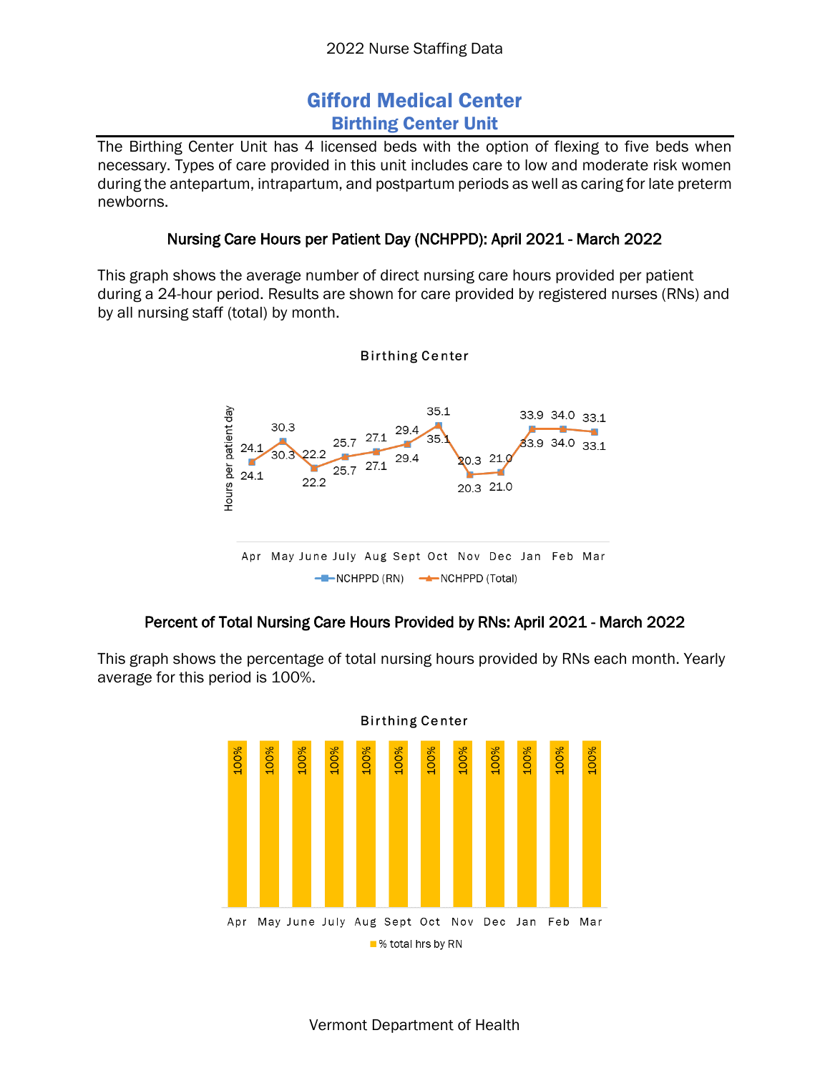# Gifford Medical Center Birthing Center Unit

The Birthing Center Unit has 4 licensed beds with the option of flexing to five beds when necessary. Types of care provided in this unit includes care to low and moderate risk women during the antepartum, intrapartum, and postpartum periods as well as caring for late preterm newborns.

## Nursing Care Hours per Patient Day (NCHPPD): April 2021 - March 2022

This graph shows the average number of direct nursing care hours provided per patient during a 24-hour period. Results are shown for care provided by registered nurses (RNs) and by all nursing staff (total) by month.



## Percent of Total Nursing Care Hours Provided by RNs: April 2021 - March 2022

This graph shows the percentage of total nursing hours provided by RNs each month. Yearly average for this period is 100%.



**Birthing Center** 

Vermont Department of Health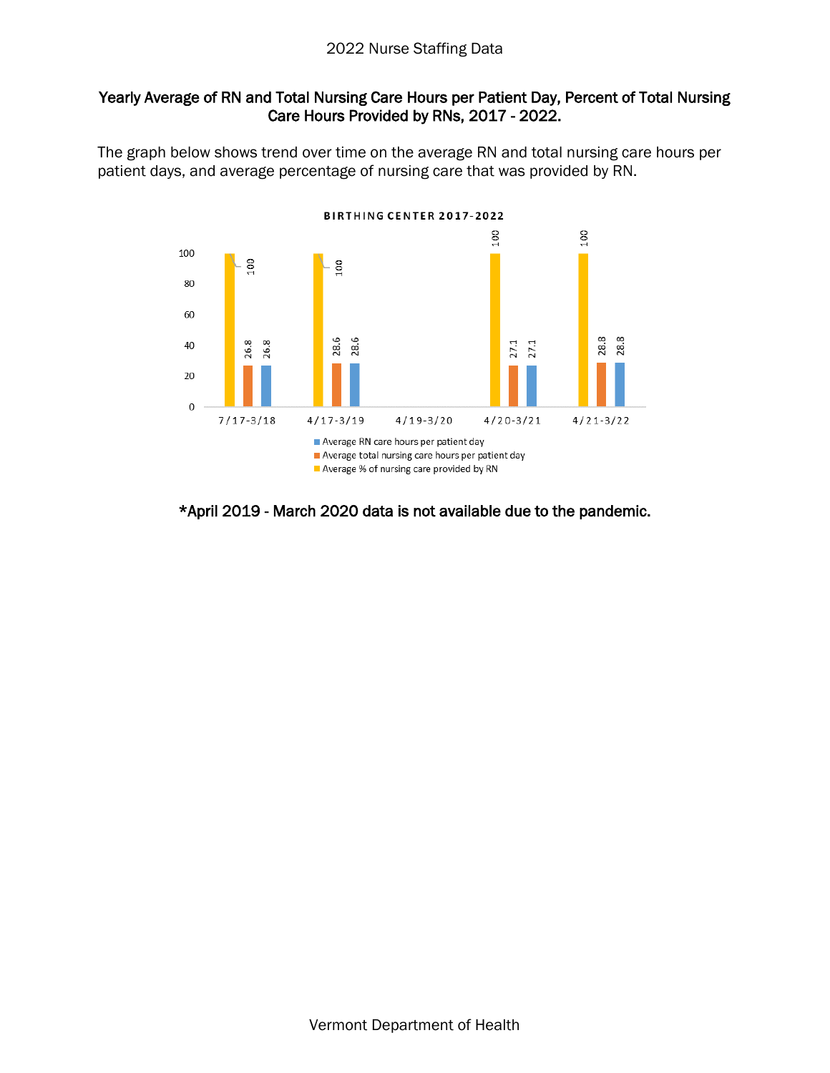### 2022 Nurse Staffing Data

### Yearly Average of RN and Total Nursing Care Hours per Patient Day, Percent of Total Nursing Care Hours Provided by RNs, 2017 - 2022.

The graph below shows trend over time on the average RN and total nursing care hours per patient days, and average percentage of nursing care that was provided by RN.



### \*April 2019 - March 2020 data is not available due to the pandemic.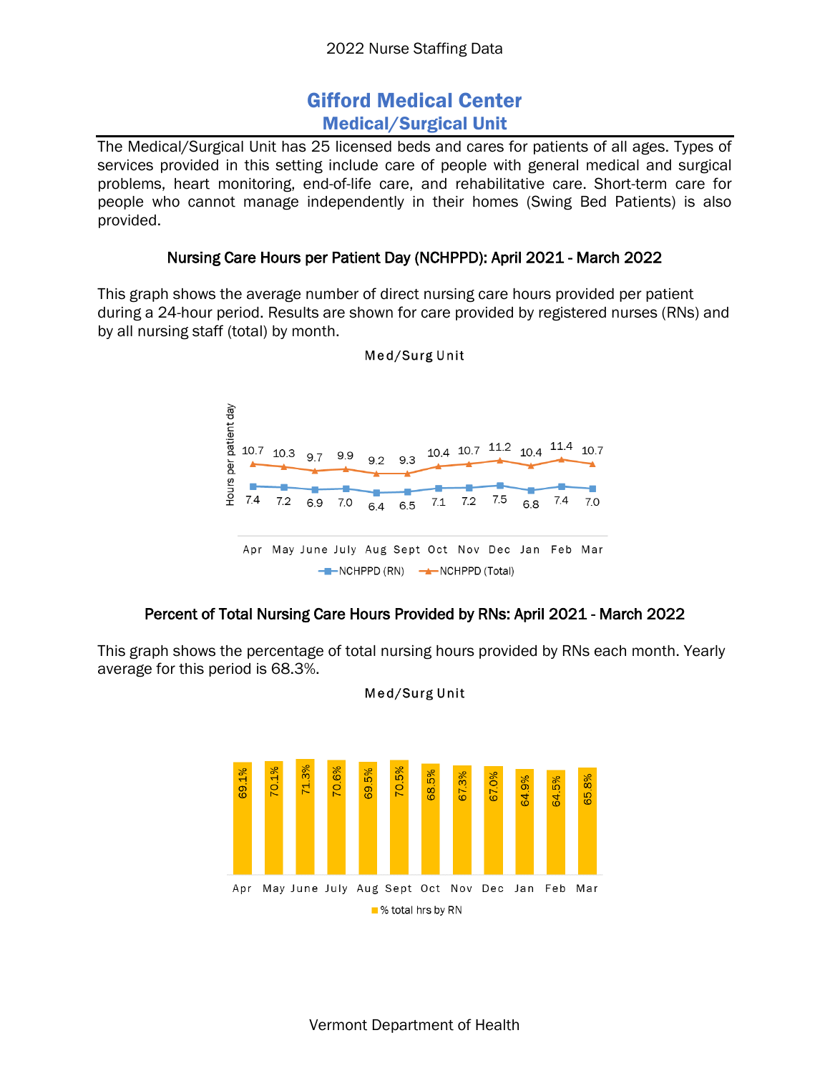# Gifford Medical Center Medical/Surgical Unit

The Medical/Surgical Unit has 25 licensed beds and cares for patients of all ages. Types of services provided in this setting include care of people with general medical and surgical problems, heart monitoring, end-of-life care, and rehabilitative care. Short-term care for people who cannot manage independently in their homes (Swing Bed Patients) is also provided.

## Nursing Care Hours per Patient Day (NCHPPD): April 2021 - March 2022

This graph shows the average number of direct nursing care hours provided per patient during a 24-hour period. Results are shown for care provided by registered nurses (RNs) and by all nursing staff (total) by month.



Med/Surg Unit

## Percent of Total Nursing Care Hours Provided by RNs: April 2021 - March 2022

This graph shows the percentage of total nursing hours provided by RNs each month. Yearly average for this period is 68.3%.



Med/Surg Unit